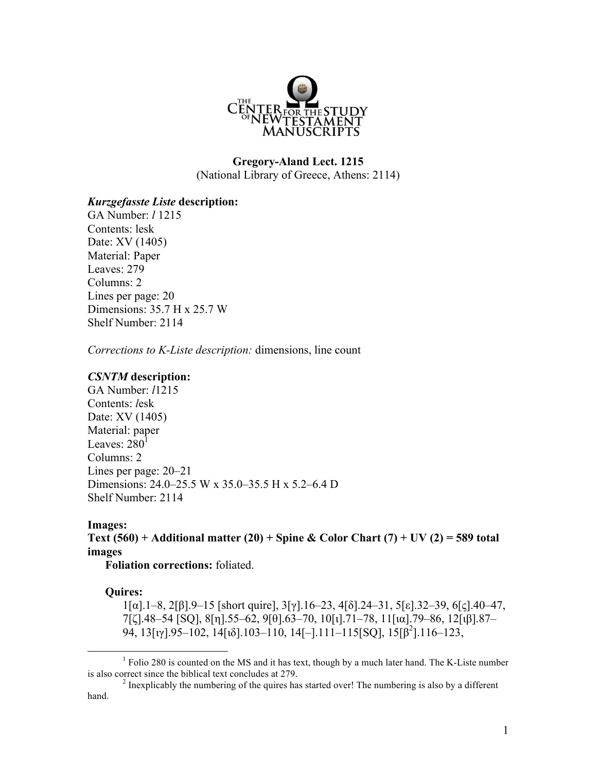

# **Gregory-Aland Lect. 1215** (National Library of Greece, Athens: 2114)

## *Kurzgefasste Liste* **description:**

GA Number: *l* 1215 Contents: lesk Date: XV (1405) Material: Paper Leaves: 279 Columns: 2 Lines per page: 20 Dimensions: 35.7 H x 25.7 W Shelf Number: 2114

*Corrections to K-Liste description:* dimensions, line count

#### *CSNTM* **description:**

GA Number: *l*1215 Contents: *l*esk Date: XV (1405) Material: paper Leaves:  $280<sup>1</sup>$ Columns: 2 Lines per page: 20–21 Dimensions: 24.0–25.5 W x 35.0–35.5 H x 5.2–6.4 D Shelf Number: 2114

## **Images:**

**Text (560) + Additional matter (20) + Spine & Color Chart (7) + UV (2) = 589 total images**

**Foliation corrections:** foliated.

#### **Quires:**

1[α].1–8, 2[β].9–15 [short quire], 3[γ].16–23, 4[δ].24–31, 5[ε].32–39, 6[ς].40–47, 7[ζ].48–54 [SQ], 8[η].55–62, 9[θ].63–70, 10[ι].71–78, 11[ια].79–86, 12[ιβ].87– 94, 13[ιγ].95–102, 14[ιδ].103–110, 14[-].111–115[SQ], 15[β<sup>2</sup>].116–123,

<sup>&</sup>lt;sup>1</sup> Folio 280 is counted on the MS and it has text, though by a much later hand. The K-Liste number is also correct since the biblical text concludes at  $279$ .

 $\frac{2}{3}$  Inexplicably the numbering of the quires has started over! The numbering is also by a different hand.